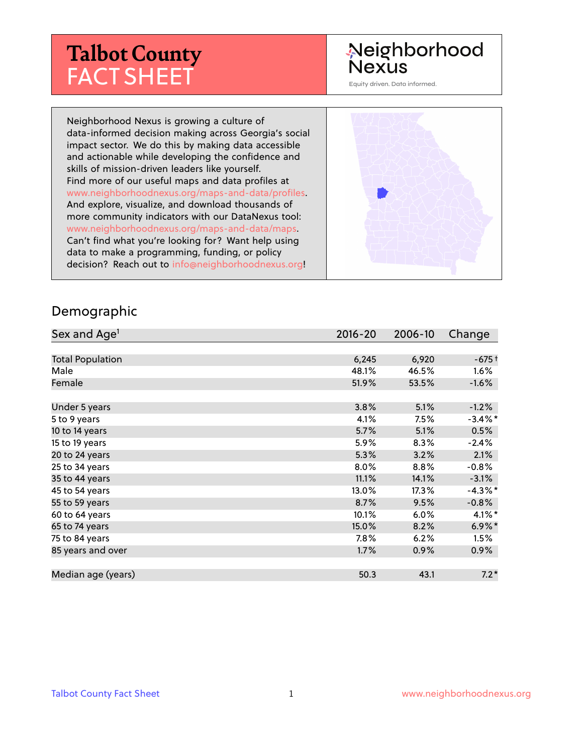# **Talbot County** FACT SHEET

# Neighborhood Nexus

Equity driven. Data informed.

Neighborhood Nexus is growing a culture of data-informed decision making across Georgia's social impact sector. We do this by making data accessible and actionable while developing the confidence and skills of mission-driven leaders like yourself. Find more of our useful maps and data profiles at www.neighborhoodnexus.org/maps-and-data/profiles. And explore, visualize, and download thousands of more community indicators with our DataNexus tool: www.neighborhoodnexus.org/maps-and-data/maps. Can't find what you're looking for? Want help using data to make a programming, funding, or policy decision? Reach out to [info@neighborhoodnexus.org!](mailto:info@neighborhoodnexus.org)



#### Demographic

| Sex and Age <sup>1</sup> | $2016 - 20$ | 2006-10 | Change               |
|--------------------------|-------------|---------|----------------------|
|                          |             |         |                      |
| <b>Total Population</b>  | 6,245       | 6,920   | $-675+$              |
| Male                     | 48.1%       | 46.5%   | $1.6\%$              |
| Female                   | 51.9%       | 53.5%   | $-1.6%$              |
|                          |             |         |                      |
| Under 5 years            | 3.8%        | 5.1%    | $-1.2%$              |
| 5 to 9 years             | 4.1%        | 7.5%    | $-3.4\%$ *           |
| 10 to 14 years           | 5.7%        | 5.1%    | 0.5%                 |
| 15 to 19 years           | 5.9%        | 8.3%    | $-2.4%$              |
| 20 to 24 years           | 5.3%        | 3.2%    | 2.1%                 |
| 25 to 34 years           | 8.0%        | 8.8%    | $-0.8%$              |
| 35 to 44 years           | 11.1%       | 14.1%   | $-3.1%$              |
| 45 to 54 years           | 13.0%       | 17.3%   | $-4.3%$ *            |
| 55 to 59 years           | 8.7%        | 9.5%    | $-0.8%$              |
| 60 to 64 years           | 10.1%       | 6.0%    | $4.1\%$ *            |
| 65 to 74 years           | 15.0%       | 8.2%    | $6.9\%$ <sup>*</sup> |
| 75 to 84 years           | 7.8%        | 6.2%    | 1.5%                 |
| 85 years and over        | 1.7%        | 0.9%    | $0.9\%$              |
|                          |             |         |                      |
| Median age (years)       | 50.3        | 43.1    | $7.2*$               |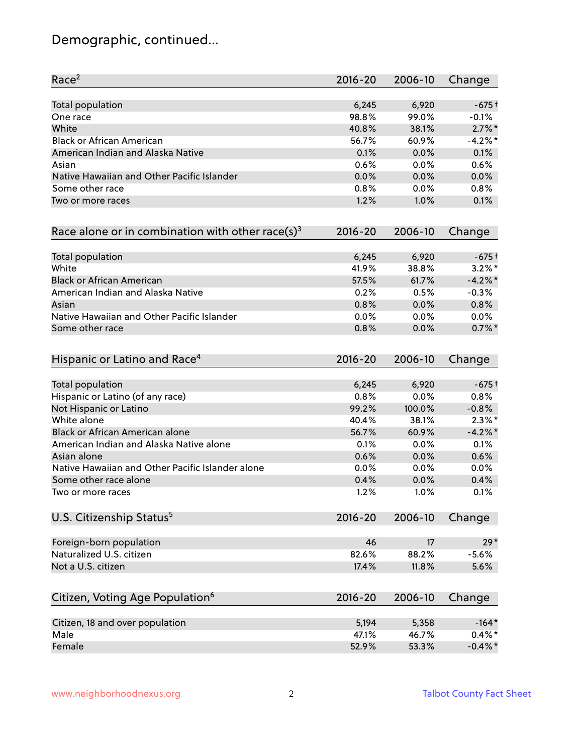# Demographic, continued...

| Race <sup>2</sup>                                            | $2016 - 20$ | 2006-10 | Change     |
|--------------------------------------------------------------|-------------|---------|------------|
| <b>Total population</b>                                      | 6,245       | 6,920   | $-675+$    |
| One race                                                     | 98.8%       | 99.0%   | $-0.1%$    |
| White                                                        | 40.8%       | 38.1%   | $2.7\%$ *  |
| <b>Black or African American</b>                             | 56.7%       | 60.9%   | $-4.2\%$ * |
| American Indian and Alaska Native                            | 0.1%        | 0.0%    | 0.1%       |
| Asian                                                        | 0.6%        | 0.0%    | 0.6%       |
| Native Hawaiian and Other Pacific Islander                   | 0.0%        | 0.0%    | 0.0%       |
| Some other race                                              | 0.8%        | 0.0%    | 0.8%       |
| Two or more races                                            | 1.2%        | 1.0%    | 0.1%       |
| Race alone or in combination with other race(s) <sup>3</sup> | $2016 - 20$ | 2006-10 | Change     |
| Total population                                             | 6,245       | 6,920   | $-675+$    |
| White                                                        | 41.9%       | 38.8%   | $3.2\%$ *  |
| <b>Black or African American</b>                             | 57.5%       | 61.7%   | $-4.2%$ *  |
| American Indian and Alaska Native                            | 0.2%        | 0.5%    | $-0.3%$    |
| Asian                                                        | 0.8%        | 0.0%    | 0.8%       |
| Native Hawaiian and Other Pacific Islander                   | 0.0%        | 0.0%    | 0.0%       |
| Some other race                                              | 0.8%        | 0.0%    | $0.7\%$ *  |
| Hispanic or Latino and Race <sup>4</sup>                     | $2016 - 20$ | 2006-10 | Change     |
| <b>Total population</b>                                      | 6,245       | 6,920   | $-675+$    |
| Hispanic or Latino (of any race)                             | 0.8%        | 0.0%    | 0.8%       |
| Not Hispanic or Latino                                       | 99.2%       | 100.0%  | $-0.8%$    |
| White alone                                                  | 40.4%       | 38.1%   | $2.3\%$ *  |
| Black or African American alone                              | 56.7%       | 60.9%   | $-4.2%$    |
| American Indian and Alaska Native alone                      | 0.1%        | $0.0\%$ | 0.1%       |
| Asian alone                                                  | 0.6%        | 0.0%    | 0.6%       |
| Native Hawaiian and Other Pacific Islander alone             | 0.0%        | $0.0\%$ | 0.0%       |
| Some other race alone                                        | 0.4%        | 0.0%    | 0.4%       |
| Two or more races                                            | 1.2%        | 1.0%    | 0.1%       |
| U.S. Citizenship Status <sup>5</sup>                         | $2016 - 20$ | 2006-10 | Change     |
| Foreign-born population                                      | 46          | 17      | $29*$      |
| Naturalized U.S. citizen                                     | 82.6%       | 88.2%   | $-5.6%$    |
| Not a U.S. citizen                                           | 17.4%       | 11.8%   | 5.6%       |
| Citizen, Voting Age Population <sup>6</sup>                  | $2016 - 20$ | 2006-10 | Change     |
| Citizen, 18 and over population                              | 5,194       | 5,358   | $-164*$    |
| Male                                                         | 47.1%       | 46.7%   | $0.4\% *$  |
| Female                                                       | 52.9%       | 53.3%   | $-0.4\%$ * |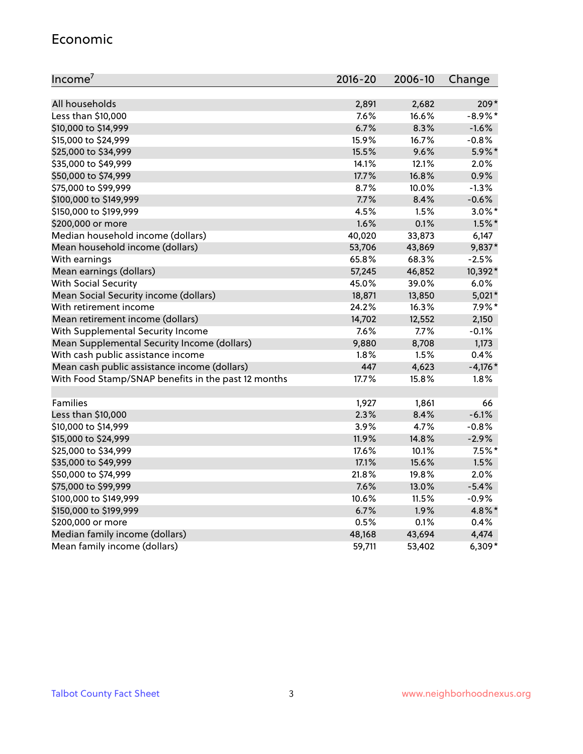#### Economic

| Income <sup>7</sup>                                 | $2016 - 20$ | 2006-10 | Change     |
|-----------------------------------------------------|-------------|---------|------------|
|                                                     |             |         |            |
| All households                                      | 2,891       | 2,682   | $209*$     |
| Less than \$10,000                                  | 7.6%        | 16.6%   | $-8.9\%$ * |
| \$10,000 to \$14,999                                | 6.7%        | 8.3%    | $-1.6%$    |
| \$15,000 to \$24,999                                | 15.9%       | 16.7%   | $-0.8%$    |
| \$25,000 to \$34,999                                | 15.5%       | 9.6%    | $5.9\%$ *  |
| \$35,000 to \$49,999                                | 14.1%       | 12.1%   | 2.0%       |
| \$50,000 to \$74,999                                | 17.7%       | 16.8%   | 0.9%       |
| \$75,000 to \$99,999                                | 8.7%        | 10.0%   | $-1.3%$    |
| \$100,000 to \$149,999                              | 7.7%        | 8.4%    | $-0.6%$    |
| \$150,000 to \$199,999                              | 4.5%        | 1.5%    | $3.0\%$ *  |
| \$200,000 or more                                   | 1.6%        | 0.1%    | $1.5\%$ *  |
| Median household income (dollars)                   | 40,020      | 33,873  | 6,147      |
| Mean household income (dollars)                     | 53,706      | 43,869  | 9,837*     |
| With earnings                                       | 65.8%       | 68.3%   | $-2.5%$    |
| Mean earnings (dollars)                             | 57,245      | 46,852  | 10,392*    |
| <b>With Social Security</b>                         | 45.0%       | 39.0%   | 6.0%       |
| Mean Social Security income (dollars)               | 18,871      | 13,850  | $5,021*$   |
| With retirement income                              | 24.2%       | 16.3%   | $7.9\%$ *  |
| Mean retirement income (dollars)                    | 14,702      | 12,552  | 2,150      |
| With Supplemental Security Income                   | 7.6%        | 7.7%    | $-0.1%$    |
| Mean Supplemental Security Income (dollars)         | 9,880       | 8,708   | 1,173      |
| With cash public assistance income                  | 1.8%        | 1.5%    | 0.4%       |
| Mean cash public assistance income (dollars)        | 447         | 4,623   | $-4,176*$  |
| With Food Stamp/SNAP benefits in the past 12 months | 17.7%       | 15.8%   | 1.8%       |
|                                                     |             |         |            |
| Families                                            | 1,927       | 1,861   | 66         |
| Less than \$10,000                                  | 2.3%        | 8.4%    | $-6.1%$    |
| \$10,000 to \$14,999                                | 3.9%        | 4.7%    | $-0.8%$    |
| \$15,000 to \$24,999                                | 11.9%       | 14.8%   | $-2.9%$    |
| \$25,000 to \$34,999                                | 17.6%       | 10.1%   | $7.5%$ *   |
| \$35,000 to \$49,999                                | 17.1%       | 15.6%   | 1.5%       |
| \$50,000 to \$74,999                                | 21.8%       | 19.8%   | 2.0%       |
| \$75,000 to \$99,999                                | 7.6%        | 13.0%   | $-5.4%$    |
| \$100,000 to \$149,999                              | 10.6%       | 11.5%   | $-0.9%$    |
| \$150,000 to \$199,999                              | 6.7%        | 1.9%    | 4.8%*      |
| \$200,000 or more                                   | 0.5%        | 0.1%    | 0.4%       |
| Median family income (dollars)                      | 48,168      | 43,694  | 4,474      |
| Mean family income (dollars)                        | 59,711      | 53,402  | $6,309*$   |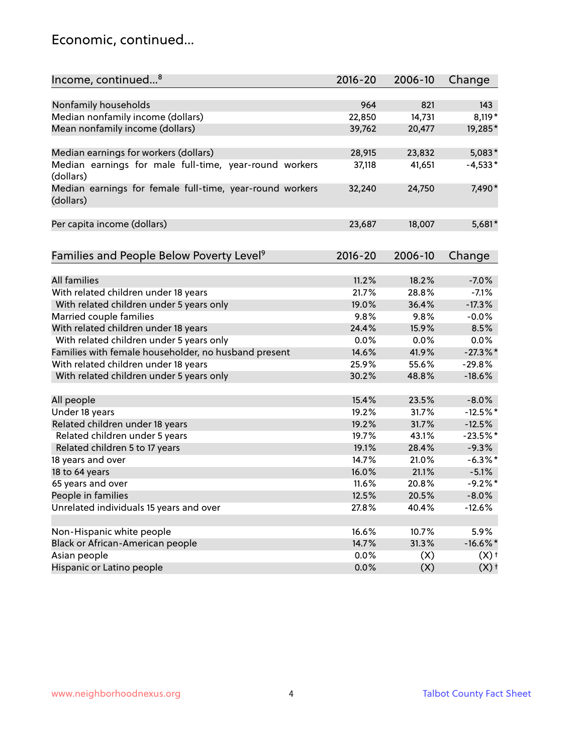### Economic, continued...

| Income, continued <sup>8</sup>                                        | $2016 - 20$ | 2006-10 | Change             |
|-----------------------------------------------------------------------|-------------|---------|--------------------|
|                                                                       |             |         |                    |
| Nonfamily households                                                  | 964         | 821     | 143                |
| Median nonfamily income (dollars)                                     | 22,850      | 14,731  | 8,119*             |
| Mean nonfamily income (dollars)                                       | 39,762      | 20,477  | 19,285*            |
| Median earnings for workers (dollars)                                 | 28,915      | 23,832  | $5,083*$           |
| Median earnings for male full-time, year-round workers<br>(dollars)   | 37,118      | 41,651  | $-4,533*$          |
| Median earnings for female full-time, year-round workers<br>(dollars) | 32,240      | 24,750  | 7,490*             |
| Per capita income (dollars)                                           | 23,687      | 18,007  | 5,681*             |
| Families and People Below Poverty Level <sup>9</sup>                  | $2016 - 20$ | 2006-10 |                    |
|                                                                       |             |         | Change             |
| <b>All families</b>                                                   | 11.2%       | 18.2%   | $-7.0%$            |
| With related children under 18 years                                  | 21.7%       | 28.8%   | $-7.1%$            |
| With related children under 5 years only                              | 19.0%       | 36.4%   | $-17.3%$           |
| Married couple families                                               | 9.8%        | 9.8%    | $-0.0%$            |
| With related children under 18 years                                  | 24.4%       | 15.9%   | 8.5%               |
| With related children under 5 years only                              | 0.0%        | 0.0%    | 0.0%               |
| Families with female householder, no husband present                  | 14.6%       | 41.9%   | $-27.3\%$ *        |
| With related children under 18 years                                  | 25.9%       | 55.6%   | $-29.8%$           |
| With related children under 5 years only                              | 30.2%       | 48.8%   | $-18.6%$           |
| All people                                                            | 15.4%       | 23.5%   | $-8.0%$            |
| Under 18 years                                                        | 19.2%       | 31.7%   | $-12.5%$ *         |
| Related children under 18 years                                       | 19.2%       | 31.7%   | $-12.5%$           |
| Related children under 5 years                                        | 19.7%       | 43.1%   | $-23.5%$ *         |
| Related children 5 to 17 years                                        | 19.1%       | 28.4%   | $-9.3%$            |
| 18 years and over                                                     | 14.7%       | 21.0%   | $-6.3\%$ *         |
| 18 to 64 years                                                        | 16.0%       | 21.1%   | $-5.1%$            |
| 65 years and over                                                     | 11.6%       | 20.8%   | $-9.2%$ *          |
| People in families                                                    | 12.5%       | 20.5%   | $-8.0\%$           |
| Unrelated individuals 15 years and over                               | 27.8%       | 40.4%   | $-12.6%$           |
|                                                                       |             |         |                    |
| Non-Hispanic white people                                             | 16.6%       | 10.7%   | 5.9%               |
| Black or African-American people                                      | 14.7%       | 31.3%   | $-16.6\%$ *        |
| Asian people                                                          | 0.0%        | (X)     | $(X)$ <sup>+</sup> |
| Hispanic or Latino people                                             | 0.0%        | (X)     | $(X)$ <sup>+</sup> |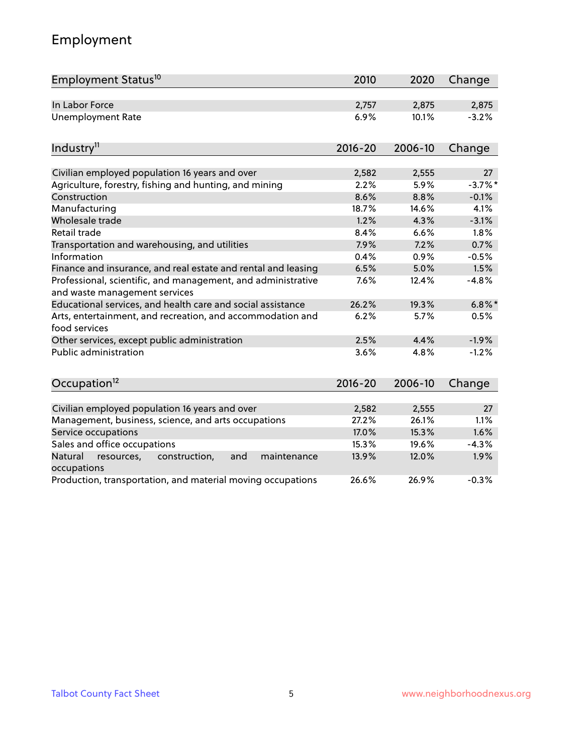# Employment

| Employment Status <sup>10</sup>                                                               | 2010        | 2020    | Change    |
|-----------------------------------------------------------------------------------------------|-------------|---------|-----------|
| In Labor Force                                                                                | 2,757       | 2,875   | 2,875     |
| <b>Unemployment Rate</b>                                                                      | 6.9%        | 10.1%   | $-3.2%$   |
| Industry <sup>11</sup>                                                                        | $2016 - 20$ | 2006-10 | Change    |
|                                                                                               |             |         |           |
| Civilian employed population 16 years and over                                                | 2,582       | 2,555   | 27        |
| Agriculture, forestry, fishing and hunting, and mining                                        | 2.2%        | 5.9%    | $-3.7%$ * |
| Construction                                                                                  | 8.6%        | 8.8%    | $-0.1%$   |
| Manufacturing                                                                                 | 18.7%       | 14.6%   | 4.1%      |
| Wholesale trade                                                                               | 1.2%        | 4.3%    | $-3.1%$   |
| Retail trade                                                                                  | 8.4%        | 6.6%    | 1.8%      |
| Transportation and warehousing, and utilities                                                 | 7.9%        | 7.2%    | 0.7%      |
| Information                                                                                   | 0.4%        | 0.9%    | $-0.5%$   |
| Finance and insurance, and real estate and rental and leasing                                 | 6.5%        | 5.0%    | 1.5%      |
| Professional, scientific, and management, and administrative<br>and waste management services | 7.6%        | 12.4%   | $-4.8%$   |
| Educational services, and health care and social assistance                                   | 26.2%       | 19.3%   | $6.8\%$ * |
| Arts, entertainment, and recreation, and accommodation and<br>food services                   | 6.2%        | 5.7%    | 0.5%      |
| Other services, except public administration                                                  | 2.5%        | 4.4%    | $-1.9%$   |
| <b>Public administration</b>                                                                  | 3.6%        | 4.8%    | $-1.2%$   |
| Occupation <sup>12</sup>                                                                      | $2016 - 20$ | 2006-10 | Change    |
|                                                                                               |             |         |           |
| Civilian employed population 16 years and over                                                | 2,582       | 2,555   | 27        |
| Management, business, science, and arts occupations                                           | 27.2%       | 26.1%   | 1.1%      |
| Service occupations                                                                           | 17.0%       | 15.3%   | 1.6%      |
| Sales and office occupations                                                                  | 15.3%       | 19.6%   | $-4.3%$   |
| Natural<br>construction,<br>and<br>maintenance<br>resources,<br>occupations                   | 13.9%       | 12.0%   | 1.9%      |
| Production, transportation, and material moving occupations                                   | 26.6%       | 26.9%   | $-0.3%$   |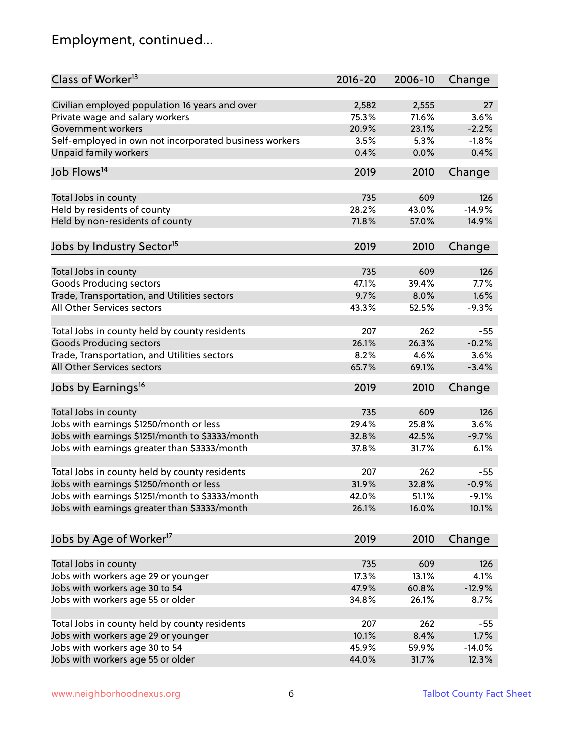# Employment, continued...

| Class of Worker <sup>13</sup>                          | $2016 - 20$ | 2006-10 | Change   |
|--------------------------------------------------------|-------------|---------|----------|
| Civilian employed population 16 years and over         | 2,582       | 2,555   | 27       |
| Private wage and salary workers                        | 75.3%       | 71.6%   | 3.6%     |
| Government workers                                     | 20.9%       | 23.1%   | $-2.2%$  |
| Self-employed in own not incorporated business workers | 3.5%        | 5.3%    | $-1.8%$  |
| Unpaid family workers                                  | 0.4%        | 0.0%    | 0.4%     |
|                                                        |             |         |          |
| Job Flows <sup>14</sup>                                | 2019        | 2010    | Change   |
| Total Jobs in county                                   | 735         | 609     | 126      |
| Held by residents of county                            | 28.2%       | 43.0%   | $-14.9%$ |
| Held by non-residents of county                        | 71.8%       | 57.0%   | 14.9%    |
|                                                        |             |         |          |
| Jobs by Industry Sector <sup>15</sup>                  | 2019        | 2010    | Change   |
| Total Jobs in county                                   | 735         | 609     | 126      |
| <b>Goods Producing sectors</b>                         | 47.1%       | 39.4%   | 7.7%     |
| Trade, Transportation, and Utilities sectors           | 9.7%        | 8.0%    | 1.6%     |
| All Other Services sectors                             | 43.3%       | 52.5%   | $-9.3%$  |
|                                                        |             |         |          |
| Total Jobs in county held by county residents          | 207         | 262     | $-55$    |
| <b>Goods Producing sectors</b>                         | 26.1%       | 26.3%   | $-0.2%$  |
| Trade, Transportation, and Utilities sectors           | 8.2%        | 4.6%    | 3.6%     |
| All Other Services sectors                             | 65.7%       | 69.1%   | $-3.4%$  |
| Jobs by Earnings <sup>16</sup>                         | 2019        | 2010    | Change   |
| Total Jobs in county                                   | 735         | 609     | 126      |
| Jobs with earnings \$1250/month or less                | 29.4%       | 25.8%   | 3.6%     |
|                                                        | 32.8%       | 42.5%   | $-9.7%$  |
| Jobs with earnings \$1251/month to \$3333/month        |             |         |          |
| Jobs with earnings greater than \$3333/month           | 37.8%       | 31.7%   | 6.1%     |
| Total Jobs in county held by county residents          | 207         | 262     | $-55$    |
| Jobs with earnings \$1250/month or less                | 31.9%       | 32.8%   | $-0.9%$  |
| Jobs with earnings \$1251/month to \$3333/month        | 42.0%       | 51.1%   | $-9.1%$  |
| Jobs with earnings greater than \$3333/month           | 26.1%       | 16.0%   | 10.1%    |
| Jobs by Age of Worker <sup>17</sup>                    | 2019        | 2010    | Change   |
|                                                        |             |         |          |
| Total Jobs in county                                   | 735         | 609     | 126      |
| Jobs with workers age 29 or younger                    | 17.3%       | 13.1%   | 4.1%     |
| Jobs with workers age 30 to 54                         | 47.9%       | 60.8%   | $-12.9%$ |
| Jobs with workers age 55 or older                      | 34.8%       | 26.1%   | 8.7%     |
|                                                        |             |         |          |
| Total Jobs in county held by county residents          | 207         | 262     | $-55$    |
| Jobs with workers age 29 or younger                    | 10.1%       | 8.4%    | 1.7%     |
| Jobs with workers age 30 to 54                         | 45.9%       | 59.9%   | $-14.0%$ |
| Jobs with workers age 55 or older                      | 44.0%       | 31.7%   | 12.3%    |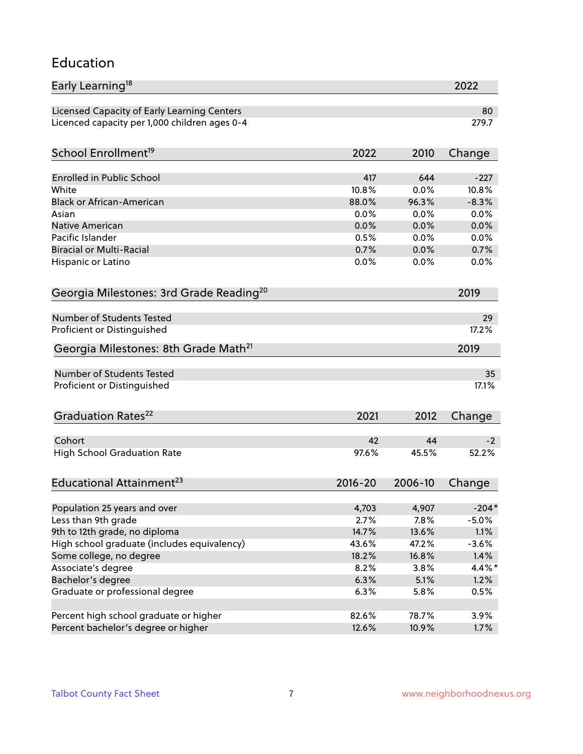### Education

| Early Learning <sup>18</sup>                        |         |         | 2022      |
|-----------------------------------------------------|---------|---------|-----------|
| Licensed Capacity of Early Learning Centers         |         |         | 80        |
| Licenced capacity per 1,000 children ages 0-4       |         |         | 279.7     |
| School Enrollment <sup>19</sup>                     | 2022    | 2010    | Change    |
|                                                     |         |         |           |
| Enrolled in Public School                           | 417     | 644     | $-227$    |
| White                                               | 10.8%   | 0.0%    | 10.8%     |
| <b>Black or African-American</b>                    | 88.0%   | 96.3%   | $-8.3%$   |
| Asian                                               | 0.0%    | 0.0%    | 0.0%      |
| <b>Native American</b>                              | 0.0%    | 0.0%    | 0.0%      |
| Pacific Islander                                    | 0.5%    | 0.0%    | 0.0%      |
| <b>Biracial or Multi-Racial</b>                     | 0.7%    | 0.0%    | 0.7%      |
| Hispanic or Latino                                  | 0.0%    | 0.0%    | 0.0%      |
| Georgia Milestones: 3rd Grade Reading <sup>20</sup> |         |         | 2019      |
|                                                     |         |         |           |
| Number of Students Tested                           |         |         | 29        |
| Proficient or Distinguished                         |         |         | 17.2%     |
| Georgia Milestones: 8th Grade Math <sup>21</sup>    |         |         | 2019      |
| Number of Students Tested                           |         |         | 35        |
| Proficient or Distinguished                         |         |         | 17.1%     |
|                                                     |         |         |           |
| Graduation Rates <sup>22</sup>                      | 2021    | 2012    | Change    |
| Cohort                                              | 42      | 44      | $-2$      |
| <b>High School Graduation Rate</b>                  | 97.6%   | 45.5%   | 52.2%     |
|                                                     |         |         |           |
| Educational Attainment <sup>23</sup>                | 2016-20 | 2006-10 | Change    |
| Population 25 years and over                        | 4,703   | 4,907   | $-204*$   |
| Less than 9th grade                                 | 2.7%    | 7.8%    | $-5.0%$   |
| 9th to 12th grade, no diploma                       | 14.7%   | 13.6%   | 1.1%      |
| High school graduate (includes equivalency)         | 43.6%   | 47.2%   | $-3.6%$   |
| Some college, no degree                             | 18.2%   | 16.8%   | 1.4%      |
| Associate's degree                                  | 8.2%    | 3.8%    | $4.4\%$ * |
| Bachelor's degree                                   | 6.3%    | 5.1%    | 1.2%      |
| Graduate or professional degree                     | 6.3%    | 5.8%    | 0.5%      |
|                                                     |         |         |           |
| Percent high school graduate or higher              | 82.6%   | 78.7%   | 3.9%      |
| Percent bachelor's degree or higher                 | 12.6%   | 10.9%   | 1.7%      |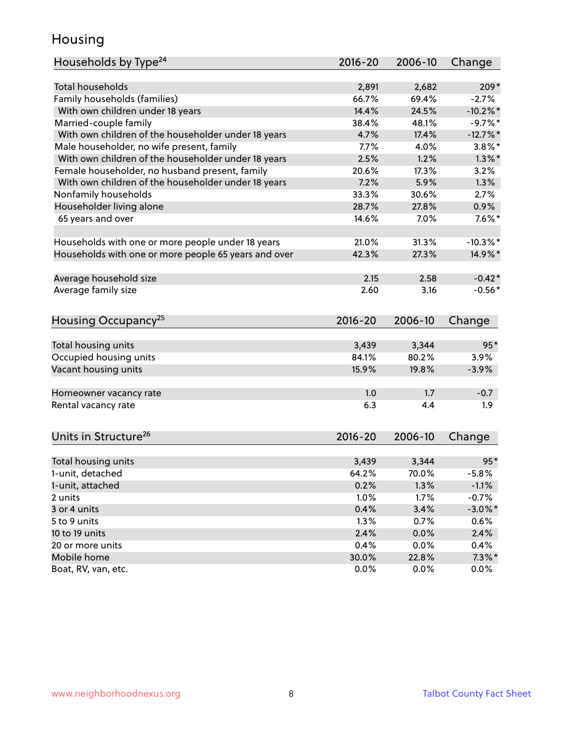### Housing

| Households by Type <sup>24</sup>                     | 2016-20     | 2006-10 | Change      |
|------------------------------------------------------|-------------|---------|-------------|
|                                                      |             |         |             |
| <b>Total households</b>                              | 2,891       | 2,682   | $209*$      |
| Family households (families)                         | 66.7%       | 69.4%   | $-2.7%$     |
| With own children under 18 years                     | 14.4%       | 24.5%   | $-10.2%$    |
| Married-couple family                                | 38.4%       | 48.1%   | $-9.7%$     |
| With own children of the householder under 18 years  | 4.7%        | 17.4%   | $-12.7%$    |
| Male householder, no wife present, family            | 7.7%        | 4.0%    | $3.8\%$ *   |
| With own children of the householder under 18 years  | 2.5%        | 1.2%    | $1.3\%$ *   |
| Female householder, no husband present, family       | 20.6%       | 17.3%   | 3.2%        |
| With own children of the householder under 18 years  | 7.2%        | 5.9%    | 1.3%        |
| Nonfamily households                                 | 33.3%       | 30.6%   | 2.7%        |
| Householder living alone                             | 28.7%       | 27.8%   | 0.9%        |
| 65 years and over                                    | 14.6%       | 7.0%    | $7.6\%$ *   |
| Households with one or more people under 18 years    | 21.0%       | 31.3%   | $-10.3\%$ * |
| Households with one or more people 65 years and over | 42.3%       | 27.3%   | 14.9%*      |
|                                                      |             |         |             |
| Average household size                               | 2.15        | 2.58    | $-0.42*$    |
| Average family size                                  | 2.60        | 3.16    | $-0.56*$    |
| Housing Occupancy <sup>25</sup>                      | $2016 - 20$ | 2006-10 | Change      |
| Total housing units                                  | 3,439       | 3,344   | $95*$       |
| Occupied housing units                               | 84.1%       | 80.2%   | 3.9%        |
| Vacant housing units                                 | 15.9%       | 19.8%   | $-3.9%$     |
|                                                      |             |         |             |
| Homeowner vacancy rate                               | 1.0         | 1.7     | $-0.7$      |
| Rental vacancy rate                                  | 6.3         | 4.4     | 1.9         |
| Units in Structure <sup>26</sup>                     | $2016 - 20$ | 2006-10 | Change      |
| Total housing units                                  | 3,439       | 3,344   | $95*$       |
| 1-unit, detached                                     | 64.2%       | 70.0%   | $-5.8%$     |
| 1-unit, attached                                     | 0.2%        | 1.3%    | $-1.1%$     |
| 2 units                                              | 1.0%        | 1.7%    | $-0.7%$     |
| 3 or 4 units                                         | 0.4%        | 3.4%    | $-3.0\%$ *  |
|                                                      |             |         |             |
| 5 to 9 units                                         | 1.3%        | 0.7%    | 0.6%        |
| 10 to 19 units                                       | 2.4%        | 0.0%    | 2.4%        |
| 20 or more units                                     | 0.4%        | 0.0%    | 0.4%        |
| Mobile home                                          | 30.0%       | 22.8%   | $7.3\%$ *   |
| Boat, RV, van, etc.                                  | 0.0%        | 0.0%    | $0.0\%$     |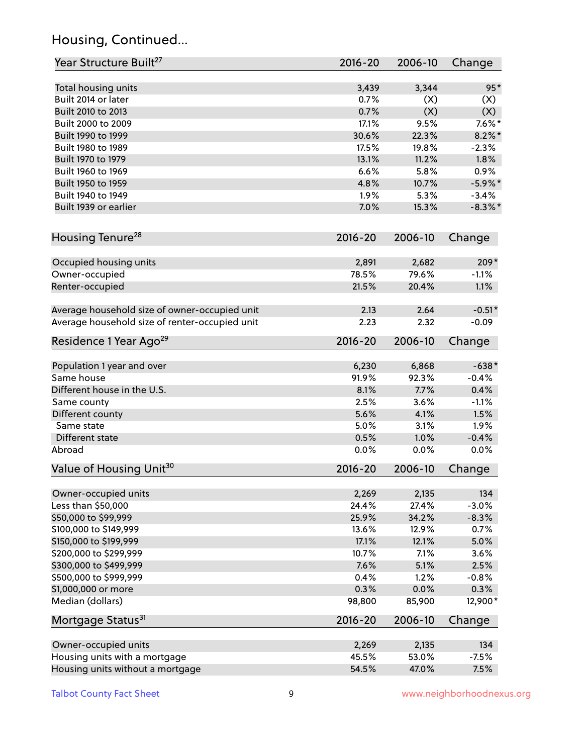# Housing, Continued...

| Year Structure Built <sup>27</sup>             | 2016-20     | 2006-10 | Change     |
|------------------------------------------------|-------------|---------|------------|
| Total housing units                            | 3,439       | 3,344   | $95*$      |
| Built 2014 or later                            | 0.7%        | (X)     | (X)        |
| Built 2010 to 2013                             | 0.7%        | (X)     | (X)        |
| Built 2000 to 2009                             | 17.1%       | 9.5%    | $7.6\%$ *  |
| Built 1990 to 1999                             | 30.6%       | 22.3%   | $8.2\%$ *  |
| Built 1980 to 1989                             | 17.5%       | 19.8%   | $-2.3%$    |
| Built 1970 to 1979                             | 13.1%       | 11.2%   | 1.8%       |
| Built 1960 to 1969                             | 6.6%        | 5.8%    | 0.9%       |
| Built 1950 to 1959                             | 4.8%        | 10.7%   | $-5.9\%$ * |
| Built 1940 to 1949                             | 1.9%        | 5.3%    | $-3.4%$    |
| Built 1939 or earlier                          | 7.0%        | 15.3%   | $-8.3\%$ * |
| Housing Tenure <sup>28</sup>                   | $2016 - 20$ | 2006-10 | Change     |
|                                                | 2,891       | 2,682   | 209*       |
| Occupied housing units<br>Owner-occupied       | 78.5%       | 79.6%   | $-1.1%$    |
| Renter-occupied                                | 21.5%       | 20.4%   | 1.1%       |
|                                                |             |         |            |
| Average household size of owner-occupied unit  | 2.13        | 2.64    | $-0.51*$   |
| Average household size of renter-occupied unit | 2.23        | 2.32    | $-0.09$    |
| Residence 1 Year Ago <sup>29</sup>             | $2016 - 20$ | 2006-10 | Change     |
| Population 1 year and over                     | 6,230       | 6,868   | $-638*$    |
| Same house                                     | 91.9%       | 92.3%   | $-0.4%$    |
| Different house in the U.S.                    | 8.1%        | 7.7%    | 0.4%       |
| Same county                                    | 2.5%        | 3.6%    | $-1.1%$    |
| Different county                               | 5.6%        | 4.1%    | 1.5%       |
| Same state                                     | 5.0%        | 3.1%    | 1.9%       |
| Different state                                | 0.5%        | 1.0%    | $-0.4%$    |
| Abroad                                         | 0.0%        | 0.0%    | 0.0%       |
| Value of Housing Unit <sup>30</sup>            | 2016-20     | 2006-10 | Change     |
|                                                |             |         |            |
| Owner-occupied units                           | 2,269       | 2,135   | 134        |
| Less than \$50,000                             | 24.4%       | 27.4%   | $-3.0%$    |
| \$50,000 to \$99,999                           | 25.9%       | 34.2%   | $-8.3%$    |
| \$100,000 to \$149,999                         | 13.6%       | 12.9%   | 0.7%       |
| \$150,000 to \$199,999                         | 17.1%       | 12.1%   | 5.0%       |
| \$200,000 to \$299,999                         | 10.7%       | 7.1%    | 3.6%       |
| \$300,000 to \$499,999                         | 7.6%        | 5.1%    | 2.5%       |
| \$500,000 to \$999,999                         | 0.4%        | 1.2%    | $-0.8%$    |
| \$1,000,000 or more                            | 0.3%        | 0.0%    | 0.3%       |
| Median (dollars)                               | 98,800      | 85,900  | 12,900*    |
| Mortgage Status <sup>31</sup>                  | $2016 - 20$ | 2006-10 | Change     |
| Owner-occupied units                           | 2,269       | 2,135   | 134        |
| Housing units with a mortgage                  | 45.5%       | 53.0%   | $-7.5%$    |
| Housing units without a mortgage               | 54.5%       | 47.0%   | 7.5%       |
|                                                |             |         |            |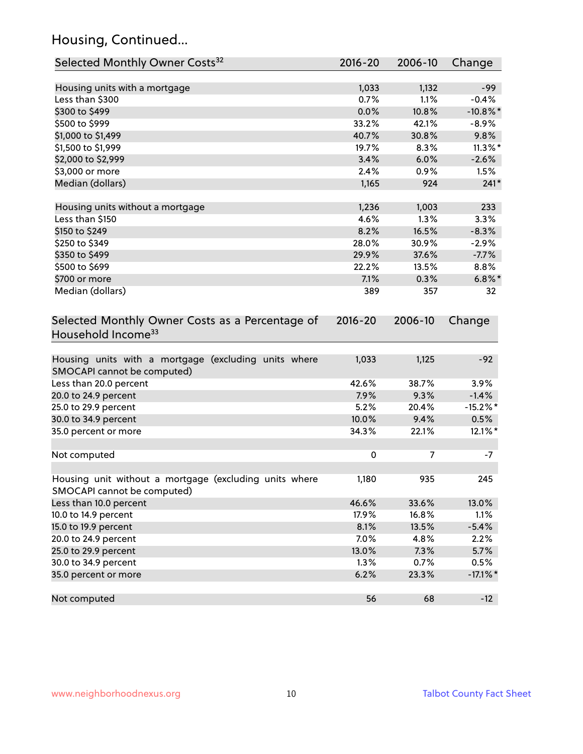# Housing, Continued...

| Selected Monthly Owner Costs <sup>32</sup>                                            | 2016-20     | 2006-10 | Change      |
|---------------------------------------------------------------------------------------|-------------|---------|-------------|
| Housing units with a mortgage                                                         | 1,033       | 1,132   | $-99$       |
| Less than \$300                                                                       | 0.7%        | 1.1%    | $-0.4%$     |
| \$300 to \$499                                                                        | 0.0%        | 10.8%   | $-10.8\%$ * |
| \$500 to \$999                                                                        | 33.2%       | 42.1%   | $-8.9%$     |
| \$1,000 to \$1,499                                                                    | 40.7%       | 30.8%   | 9.8%        |
| \$1,500 to \$1,999                                                                    | 19.7%       | 8.3%    | $11.3\%$ *  |
| \$2,000 to \$2,999                                                                    | 3.4%        | 6.0%    | $-2.6%$     |
| \$3,000 or more                                                                       | 2.4%        | 0.9%    | 1.5%        |
| Median (dollars)                                                                      | 1,165       | 924     | $241*$      |
|                                                                                       |             |         |             |
| Housing units without a mortgage                                                      | 1,236       | 1,003   | 233         |
| Less than \$150                                                                       | 4.6%        | 1.3%    | 3.3%        |
| \$150 to \$249                                                                        | 8.2%        | 16.5%   | $-8.3%$     |
| \$250 to \$349                                                                        | 28.0%       | 30.9%   | $-2.9%$     |
| \$350 to \$499                                                                        | 29.9%       | 37.6%   | $-7.7%$     |
| \$500 to \$699                                                                        | 22.2%       | 13.5%   | 8.8%        |
| \$700 or more                                                                         | 7.1%        | 0.3%    | $6.8\%$ *   |
| Median (dollars)                                                                      | 389         | 357     | 32          |
| Selected Monthly Owner Costs as a Percentage of<br>Household Income <sup>33</sup>     | $2016 - 20$ | 2006-10 | Change      |
| Housing units with a mortgage (excluding units where<br>SMOCAPI cannot be computed)   | 1,033       | 1,125   | $-92$       |
| Less than 20.0 percent                                                                | 42.6%       | 38.7%   | 3.9%        |
| 20.0 to 24.9 percent                                                                  | 7.9%        | 9.3%    | $-1.4%$     |
| 25.0 to 29.9 percent                                                                  | 5.2%        | 20.4%   | $-15.2\%$ * |
| 30.0 to 34.9 percent                                                                  | 10.0%       | 9.4%    | 0.5%        |
| 35.0 percent or more                                                                  | 34.3%       | 22.1%   | 12.1%*      |
| Not computed                                                                          | 0           | 7       | $-7$        |
| Housing unit without a mortgage (excluding units where<br>SMOCAPI cannot be computed) | 1,180       | 935     | 245         |
| Less than 10.0 percent                                                                | 46.6%       | 33.6%   | 13.0%       |
| 10.0 to 14.9 percent                                                                  | 17.9%       | 16.8%   | 1.1%        |
| 15.0 to 19.9 percent                                                                  | 8.1%        | 13.5%   | $-5.4%$     |
| 20.0 to 24.9 percent                                                                  | 7.0%        | 4.8%    | 2.2%        |
| 25.0 to 29.9 percent                                                                  | 13.0%       | 7.3%    | 5.7%        |
| 30.0 to 34.9 percent                                                                  | 1.3%        | 0.7%    | 0.5%        |
| 35.0 percent or more                                                                  | 6.2%        | 23.3%   | $-17.1\%$ * |
| Not computed                                                                          | 56          | 68      | $-12$       |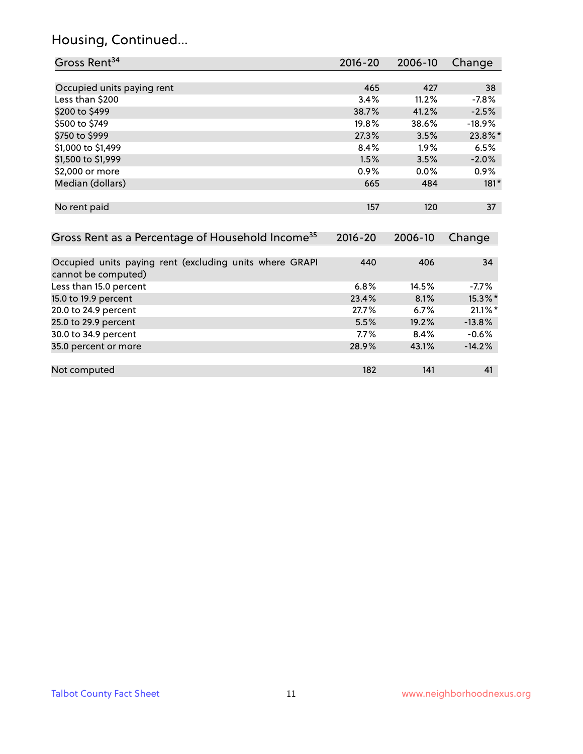# Housing, Continued...

| Gross Rent <sup>34</sup>                                                       | 2016-20     | 2006-10 | Change     |
|--------------------------------------------------------------------------------|-------------|---------|------------|
|                                                                                |             |         |            |
| Occupied units paying rent                                                     | 465         | 427     | 38         |
| Less than \$200                                                                | 3.4%        | 11.2%   | $-7.8%$    |
| \$200 to \$499                                                                 | 38.7%       | 41.2%   | $-2.5%$    |
| \$500 to \$749                                                                 | 19.8%       | 38.6%   | $-18.9%$   |
| \$750 to \$999                                                                 | 27.3%       | 3.5%    | 23.8%*     |
| \$1,000 to \$1,499                                                             | 8.4%        | 1.9%    | 6.5%       |
| \$1,500 to \$1,999                                                             | 1.5%        | 3.5%    | $-2.0%$    |
| \$2,000 or more                                                                | 0.9%        | 0.0%    | 0.9%       |
| Median (dollars)                                                               | 665         | 484     | $181*$     |
| No rent paid                                                                   | 157         | 120     | 37         |
| Gross Rent as a Percentage of Household Income <sup>35</sup>                   | $2016 - 20$ | 2006-10 | Change     |
| Occupied units paying rent (excluding units where GRAPI<br>cannot be computed) | 440         | 406     | 34         |
| Less than 15.0 percent                                                         | 6.8%        | 14.5%   | $-7.7%$    |
| 15.0 to 19.9 percent                                                           | 23.4%       | 8.1%    | 15.3%*     |
| 20.0 to 24.9 percent                                                           | 27.7%       | 6.7%    | $21.1\%$ * |
| 25.0 to 29.9 percent                                                           | 5.5%        | 19.2%   | $-13.8%$   |
| 30.0 to 34.9 percent                                                           | 7.7%        | 8.4%    | $-0.6%$    |
| 35.0 percent or more                                                           | 28.9%       | 43.1%   | $-14.2%$   |
| Not computed                                                                   | 182         | 141     | 41         |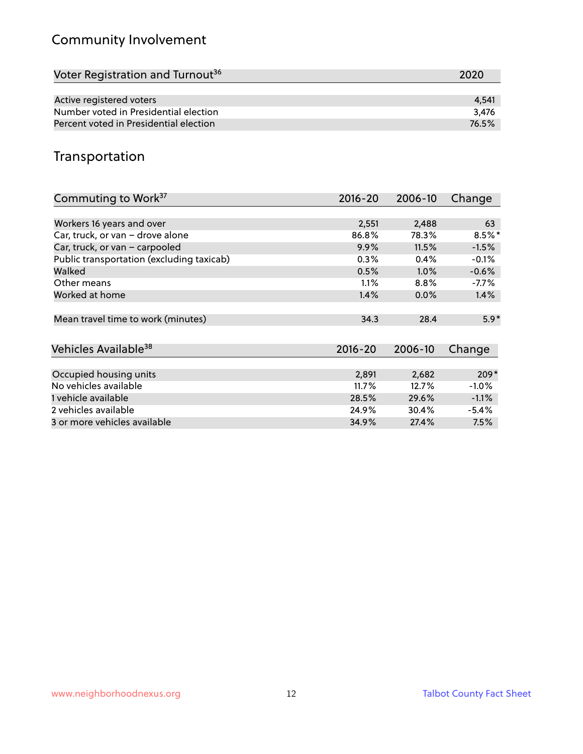# Community Involvement

| Voter Registration and Turnout <sup>36</sup> | 2020  |
|----------------------------------------------|-------|
|                                              |       |
| Active registered voters                     | 4.541 |
| Number voted in Presidential election        | 3.476 |
| Percent voted in Presidential election       | 76.5% |

## Transportation

| Commuting to Work <sup>37</sup>           | 2016-20     | 2006-10 | Change    |
|-------------------------------------------|-------------|---------|-----------|
|                                           |             |         |           |
| Workers 16 years and over                 | 2,551       | 2,488   | 63        |
| Car, truck, or van - drove alone          | 86.8%       | 78.3%   | $8.5\%$ * |
| Car, truck, or van - carpooled            | 9.9%        | 11.5%   | $-1.5%$   |
| Public transportation (excluding taxicab) | 0.3%        | 0.4%    | $-0.1%$   |
| Walked                                    | 0.5%        | 1.0%    | $-0.6%$   |
| Other means                               | 1.1%        | 8.8%    | $-7.7\%$  |
| Worked at home                            | 1.4%        | $0.0\%$ | 1.4%      |
|                                           |             |         |           |
| Mean travel time to work (minutes)        | 34.3        | 28.4    | $5.9*$    |
|                                           |             |         |           |
| Vehicles Available <sup>38</sup>          | $2016 - 20$ | 2006-10 | Change    |
|                                           |             |         |           |
| Occupied housing units                    | 2,891       | 2,682   | $209*$    |
| No vehicles available                     | 11.7%       | 12.7%   | $-1.0%$   |
| 1 vehicle available                       | 28.5%       | 29.6%   | $-1.1\%$  |
| 2 vehicles available                      | 24.9%       | 30.4%   | $-5.4%$   |
| 3 or more vehicles available              | 34.9%       | 27.4%   | 7.5%      |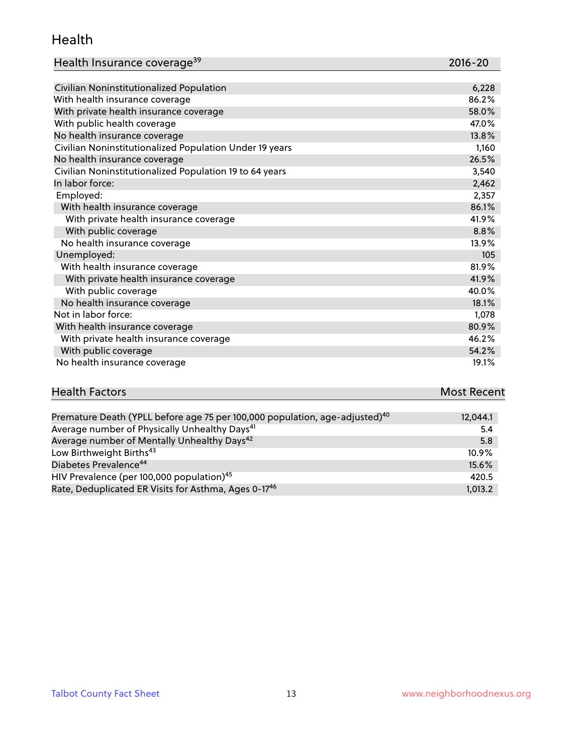#### Health

| Health Insurance coverage <sup>39</sup> | 2016-20 |
|-----------------------------------------|---------|
|-----------------------------------------|---------|

| Civilian Noninstitutionalized Population                | 6,228 |
|---------------------------------------------------------|-------|
| With health insurance coverage                          | 86.2% |
| With private health insurance coverage                  | 58.0% |
| With public health coverage                             | 47.0% |
| No health insurance coverage                            | 13.8% |
| Civilian Noninstitutionalized Population Under 19 years | 1,160 |
| No health insurance coverage                            | 26.5% |
| Civilian Noninstitutionalized Population 19 to 64 years | 3,540 |
| In labor force:                                         | 2,462 |
| Employed:                                               | 2,357 |
| With health insurance coverage                          | 86.1% |
| With private health insurance coverage                  | 41.9% |
| With public coverage                                    | 8.8%  |
| No health insurance coverage                            | 13.9% |
| Unemployed:                                             | 105   |
| With health insurance coverage                          | 81.9% |
| With private health insurance coverage                  | 41.9% |
| With public coverage                                    | 40.0% |
| No health insurance coverage                            | 18.1% |
| Not in labor force:                                     | 1,078 |
| With health insurance coverage                          | 80.9% |
| With private health insurance coverage                  | 46.2% |
| With public coverage                                    | 54.2% |
| No health insurance coverage                            | 19.1% |

| <b>Health Factors</b>                                                                   | <b>Most Recent</b> |
|-----------------------------------------------------------------------------------------|--------------------|
|                                                                                         |                    |
| Premature Death (YPLL before age 75 per 100,000 population, age-adjusted) <sup>40</sup> | 12.044.1           |

| <u>Fielilature Death (Tr. LL Deibie age 75 pei 100,000 population, age-aujusteu)</u> | 14,044.1 |
|--------------------------------------------------------------------------------------|----------|
| Average number of Physically Unhealthy Days <sup>41</sup>                            | 5.4      |
| Average number of Mentally Unhealthy Days <sup>42</sup>                              | 5.8      |
| Low Birthweight Births <sup>43</sup>                                                 | $10.9\%$ |
| Diabetes Prevalence <sup>44</sup>                                                    | 15.6%    |
| HIV Prevalence (per 100,000 population) <sup>45</sup>                                | 420.5    |
| Rate, Deduplicated ER Visits for Asthma, Ages 0-17 <sup>46</sup>                     | 1.013.2  |